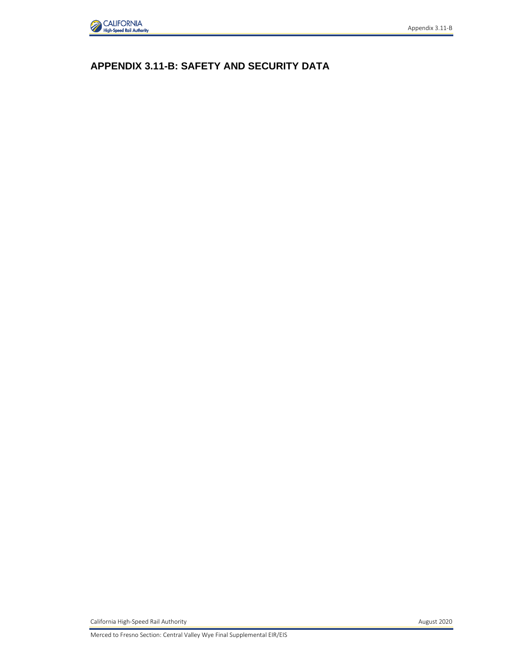

# **APPENDIX 3.11-B: SAFETY AND SECURITY DATA**

California High-Speed Rail Authority **August 2020**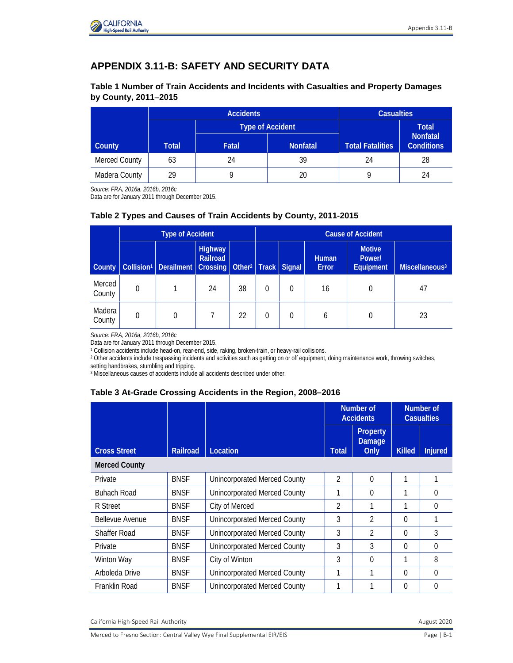

## **APPENDIX 3.11-B: SAFETY AND SECURITY DATA**

#### **Table 1 Number of Train Accidents and Incidents with Casualties and Property Damages by County, 2011**−**2015**

|               |                                   | <b>Accidents</b> |                  | <b>Casualties</b>                    |              |  |
|---------------|-----------------------------------|------------------|------------------|--------------------------------------|--------------|--|
|               |                                   | Type of Accident |                  |                                      | <b>Total</b> |  |
| County        | Total<br>Fatal<br><b>Nonfatal</b> |                  | Total Fatalities | <b>Nonfatal</b><br><b>Conditions</b> |              |  |
| Merced County | 63                                | 24               | 39               | 24                                   | 28           |  |
| Madera County | 29                                |                  | 20               |                                      | 24           |  |

*Source: FRA, 2016a, 2016b, 2016c*

Data are for January 2011 through December 2015.

#### **Table 2 Types and Causes of Train Accidents by County, 2011-2015**

|                  | <b>Type of Accident</b> |                                                                                    |                            |    | <b>Cause of Accident</b> |   |                              |                                      |                            |
|------------------|-------------------------|------------------------------------------------------------------------------------|----------------------------|----|--------------------------|---|------------------------------|--------------------------------------|----------------------------|
| County           |                         | Collision <sup>1</sup> Derailment   Crossing   Other <sup>2</sup>   Track   Signal | <b>Highway</b><br>Railroad |    |                          |   | <b>Human</b><br><b>Error</b> | <b>Motive</b><br>Power/<br>Equipment | Miscellaneous <sup>3</sup> |
| Merced<br>County | $\Omega$                |                                                                                    | 24                         | 38 | 0                        | 0 | 16                           | 0                                    | 47                         |
| Madera<br>County | 0                       | 0                                                                                  |                            | 22 | 0                        | 0 | 6                            | $\theta$                             | 23                         |

*Source: FRA, 2016a, 2016b, 2016c*

<sup>1</sup> Collision accidents include head-on, rear-end, side, raking, broken-train, or heavy-rail collisions.

<sup>2</sup> Other accidents include trespassing incidents and activities such as getting on or off equipment, doing maintenance work, throwing switches, setting handbrakes, stumbling and tripping.

<sup>3</sup> Miscellaneous causes of accidents include all accidents described under other.

#### **Table 3 At-Grade Crossing Accidents in the Region, 2008–2016**

|                        |                 |                                     | Number of<br><b>Accidents</b> |                                   | Number of<br><b>Casualties</b> |                |
|------------------------|-----------------|-------------------------------------|-------------------------------|-----------------------------------|--------------------------------|----------------|
| <b>Cross Street</b>    | <b>Railroad</b> | Location                            | <b>Total</b>                  | Property<br><b>Damage</b><br>Only | <b>Killed</b>                  | <b>Injured</b> |
| <b>Merced County</b>   |                 |                                     |                               |                                   |                                |                |
| Private                | <b>BNSF</b>     | <b>Unincorporated Merced County</b> | $\mathfrak{D}$                | $\Omega$                          |                                |                |
| <b>Buhach Road</b>     | <b>BNSF</b>     | <b>Unincorporated Merced County</b> |                               | $\Omega$                          |                                | 0              |
| R Street               | <b>BNSF</b>     | City of Merced                      | $\mathfrak{D}$                | 1                                 |                                | 0              |
| <b>Bellevue Avenue</b> | <b>BNSF</b>     | <b>Unincorporated Merced County</b> | 3                             | $\mathfrak{D}$                    | $\Omega$                       |                |
| <b>Shaffer Road</b>    | <b>BNSF</b>     | <b>Unincorporated Merced County</b> | 3                             | $\mathfrak{D}$                    | $\Omega$                       | 3              |
| Private                | <b>BNSF</b>     | <b>Unincorporated Merced County</b> | 3                             | 3                                 | $\Omega$                       | 0              |
| Winton Way             | <b>BNSF</b>     | City of Winton                      | 3                             | $\Omega$                          |                                | 8              |
| Arboleda Drive         | <b>BNSF</b>     | Unincorporated Merced County        |                               | 1                                 | $\Omega$                       | O              |
| Franklin Road          | <b>BNSF</b>     | <b>Unincorporated Merced County</b> |                               |                                   | $\Omega$                       | 0              |

California High-Speed Rail Authority **August 2020 August 2020**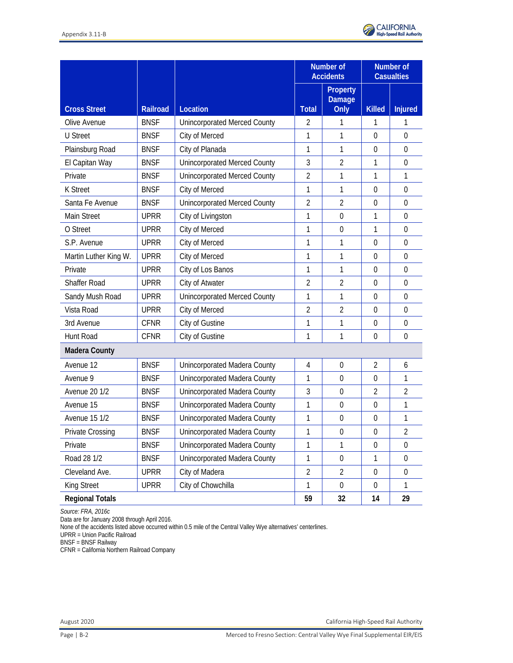

|                        |                 |                                     |                | Number of<br><b>Accidents</b>            | Number of<br><b>Casualties</b> |                  |
|------------------------|-----------------|-------------------------------------|----------------|------------------------------------------|--------------------------------|------------------|
| <b>Cross Street</b>    | <b>Railroad</b> | Location                            | <b>Total</b>   | <b>Property</b><br><b>Damage</b><br>Only | <b>Killed</b>                  | <b>Injured</b>   |
| Olive Avenue           | <b>BNSF</b>     | <b>Unincorporated Merced County</b> | 2              | 1                                        | 1                              | 1                |
| <b>U</b> Street        | <b>BNSF</b>     | City of Merced                      | 1              | 1                                        | $\mathbf 0$                    | $\theta$         |
| Plainsburg Road        | <b>BNSF</b>     | City of Planada                     | 1              | 1                                        | $\mathbf 0$                    | $\mathbf 0$      |
| El Capitan Way         | <b>BNSF</b>     | <b>Unincorporated Merced County</b> | 3              | $\overline{2}$                           | 1                              | $\overline{0}$   |
| Private                | <b>BNSF</b>     | <b>Unincorporated Merced County</b> | $\overline{2}$ | 1                                        | 1                              | 1                |
| <b>K</b> Street        | <b>BNSF</b>     | City of Merced                      | 1              | 1                                        | $\mathbf 0$                    | $\boldsymbol{0}$ |
| Santa Fe Avenue        | <b>BNSF</b>     | <b>Unincorporated Merced County</b> | $\overline{2}$ | $\overline{2}$                           | $\mathbf{0}$                   | $\overline{0}$   |
| Main Street            | <b>UPRR</b>     | City of Livingston                  | 1              | $\mathbf 0$                              | 1                              | $\mathbf 0$      |
| O Street               | <b>UPRR</b>     | City of Merced                      | 1              | $\mathbf 0$                              | 1                              | $\boldsymbol{0}$ |
| S.P. Avenue            | <b>UPRR</b>     | City of Merced                      | 1              | 1                                        | $\overline{0}$                 | $\mathbf 0$      |
| Martin Luther King W.  | <b>UPRR</b>     | City of Merced                      | 1              | 1                                        | $\mathbf 0$                    | $\Omega$         |
| Private                | <b>UPRR</b>     | City of Los Banos                   | 1              | 1                                        | $\mathbf 0$                    | $\boldsymbol{0}$ |
| <b>Shaffer Road</b>    | <b>UPRR</b>     | City of Atwater                     | $\overline{2}$ | $\overline{2}$                           | $\mathbf 0$                    | $\boldsymbol{0}$ |
| Sandy Mush Road        | <b>UPRR</b>     | <b>Unincorporated Merced County</b> | 1              | 1                                        | $\mathbf 0$                    | $\Omega$         |
| Vista Road             | <b>UPRR</b>     | City of Merced                      | $\overline{2}$ | $\overline{2}$                           | $\mathbf 0$                    | $\boldsymbol{0}$ |
| 3rd Avenue             | <b>CFNR</b>     | City of Gustine                     | 1              | 1                                        | $\mathbf 0$                    | $\boldsymbol{0}$ |
| Hunt Road              | <b>CFNR</b>     | City of Gustine                     | 1              | 1                                        | $\mathbf 0$                    | $\boldsymbol{0}$ |
| <b>Madera County</b>   |                 |                                     |                |                                          |                                |                  |
| Avenue 12              | <b>BNSF</b>     | Unincorporated Madera County        | 4              | $\mathbf 0$                              | $\overline{2}$                 | 6                |
| Avenue 9               | <b>BNSF</b>     | Unincorporated Madera County        | 1              | $\mathbf 0$                              | $\mathbf 0$                    | 1                |
| <b>Avenue 20 1/2</b>   | <b>BNSF</b>     | Unincorporated Madera County        | 3              | $\mathbf 0$                              | $\overline{2}$                 | $\overline{2}$   |
| Avenue 15              | <b>BNSF</b>     | Unincorporated Madera County        | 1              | $\mathbf 0$                              | $\overline{0}$                 | 1                |
| <b>Avenue 15 1/2</b>   | <b>BNSF</b>     | Unincorporated Madera County        | 1              | $\mathbf 0$                              | $\boldsymbol{0}$               | 1                |
| Private Crossing       | <b>BNSF</b>     | Unincorporated Madera County        | 1              | $\boldsymbol{0}$                         | $\boldsymbol{0}$               | $\sqrt{2}$       |
| Private                | <b>BNSF</b>     | Unincorporated Madera County        | 1              | 1                                        | $\mathbf 0$                    | $\boldsymbol{0}$ |
| Road 28 1/2            | <b>BNSF</b>     | Unincorporated Madera County        | 1              | $\boldsymbol{0}$                         | 1                              | $\boldsymbol{0}$ |
| Cleveland Ave.         | <b>UPRR</b>     | City of Madera                      | $\overline{2}$ | $\overline{2}$                           | $\boldsymbol{0}$               | $\boldsymbol{0}$ |
| King Street            | <b>UPRR</b>     | City of Chowchilla                  | 1              | $\mathbf 0$                              | $\boldsymbol{0}$               | 1                |
| <b>Regional Totals</b> |                 |                                     | 59             | 32                                       | 14                             | 29               |

*Source: FRA, 2016c* 

Data are for January 2008 through April 2016.

None of the accidents listed above occurred within 0.5 mile of the Central Valley Wye alternatives' centerlines.

UPRR = Union Pacific Railroad

BNSF = BNSF Railway

CFNR = California Northern Railroad Company

August 2020 California High-Speed Rail Authority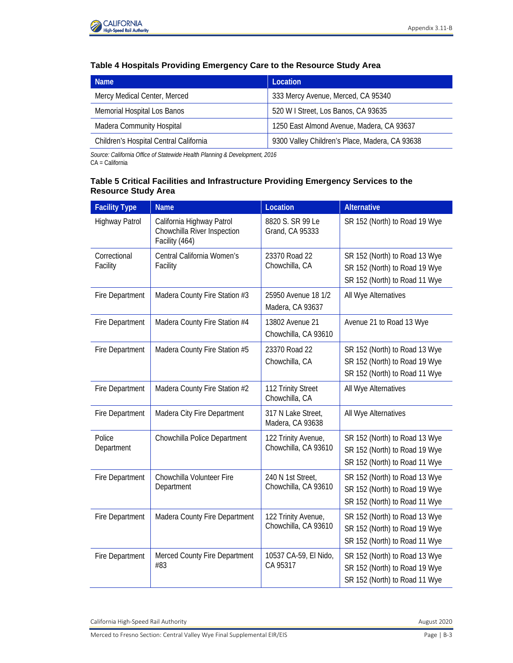

#### **Table 4 Hospitals Providing Emergency Care to the Resource Study Area**

| <b>Name</b>                            | Location                                       |  |  |
|----------------------------------------|------------------------------------------------|--|--|
| Mercy Medical Center, Merced           | 333 Mercy Avenue, Merced, CA 95340             |  |  |
| Memorial Hospital Los Banos            | 520 W I Street, Los Banos, CA 93635            |  |  |
| <b>Madera Community Hospital</b>       | 1250 East Almond Avenue, Madera, CA 93637      |  |  |
| Children's Hospital Central California | 9300 Valley Children's Place, Madera, CA 93638 |  |  |

*Source: California Office of Statewide Health Planning & Development, 2016* 

CA = California

#### **Table 5 Critical Facilities and Infrastructure Providing Emergency Services to the Resource Study Area**

| <b>Facility Type</b>     | <b>Name</b>                                                                | Location                                    | <b>Alternative</b>                                                                              |
|--------------------------|----------------------------------------------------------------------------|---------------------------------------------|-------------------------------------------------------------------------------------------------|
| Highway Patrol           | California Highway Patrol<br>Chowchilla River Inspection<br>Facility (464) | 8820 S. SR 99 Le<br>Grand, CA 95333         | SR 152 (North) to Road 19 Wye                                                                   |
| Correctional<br>Facility | Central California Women's<br>Facility                                     | 23370 Road 22<br>Chowchilla, CA             | SR 152 (North) to Road 13 Wye<br>SR 152 (North) to Road 19 Wye<br>SR 152 (North) to Road 11 Wye |
| <b>Fire Department</b>   | Madera County Fire Station #3                                              | 25950 Avenue 18 1/2<br>Madera, CA 93637     | All Wye Alternatives                                                                            |
| Fire Department          | Madera County Fire Station #4                                              | 13802 Avenue 21<br>Chowchilla, CA 93610     | Avenue 21 to Road 13 Wye                                                                        |
| Fire Department          | Madera County Fire Station #5                                              | 23370 Road 22<br>Chowchilla, CA             | SR 152 (North) to Road 13 Wye<br>SR 152 (North) to Road 19 Wye<br>SR 152 (North) to Road 11 Wye |
| <b>Fire Department</b>   | Madera County Fire Station #2                                              | 112 Trinity Street<br>Chowchilla, CA        | All Wye Alternatives                                                                            |
| Fire Department          | Madera City Fire Department                                                | 317 N Lake Street,<br>Madera, CA 93638      | All Wye Alternatives                                                                            |
| Police<br>Department     | Chowchilla Police Department                                               | 122 Trinity Avenue,<br>Chowchilla, CA 93610 | SR 152 (North) to Road 13 Wye<br>SR 152 (North) to Road 19 Wye<br>SR 152 (North) to Road 11 Wye |
| Fire Department          | Chowchilla Volunteer Fire<br>Department                                    | 240 N 1st Street,<br>Chowchilla, CA 93610   | SR 152 (North) to Road 13 Wye<br>SR 152 (North) to Road 19 Wye<br>SR 152 (North) to Road 11 Wye |
| Fire Department          | Madera County Fire Department                                              | 122 Trinity Avenue,<br>Chowchilla, CA 93610 | SR 152 (North) to Road 13 Wye<br>SR 152 (North) to Road 19 Wye<br>SR 152 (North) to Road 11 Wye |
| Fire Department          | Merced County Fire Department<br>#83                                       | 10537 CA-59, El Nido,<br>CA 95317           | SR 152 (North) to Road 13 Wye<br>SR 152 (North) to Road 19 Wye<br>SR 152 (North) to Road 11 Wye |

California High-Speed Rail Authority **August 2020**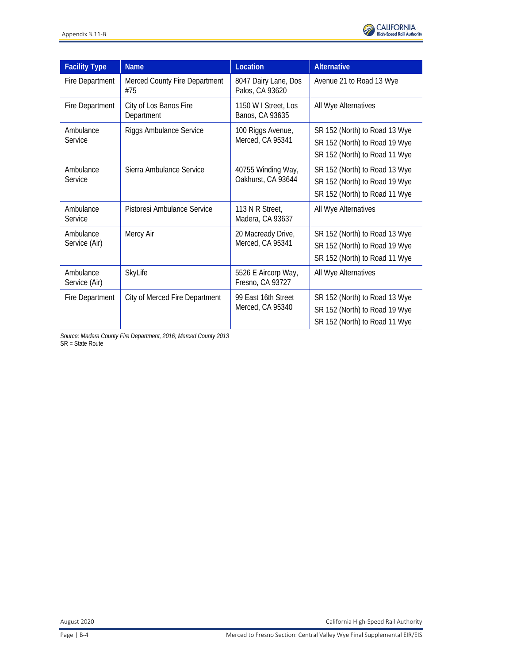

| <b>Facility Type</b>       | <b>Name</b>                          | Location                                 | <b>Alternative</b>                                                                              |
|----------------------------|--------------------------------------|------------------------------------------|-------------------------------------------------------------------------------------------------|
| Fire Department            | Merced County Fire Department<br>#75 | 8047 Dairy Lane, Dos<br>Palos, CA 93620  | Avenue 21 to Road 13 Wye                                                                        |
| Fire Department            | City of Los Banos Fire<br>Department | 1150 W I Street, Los<br>Banos, CA 93635  | All Wye Alternatives                                                                            |
| Ambulance<br>Service       | <b>Riggs Ambulance Service</b>       | 100 Riggs Avenue,<br>Merced, CA 95341    | SR 152 (North) to Road 13 Wye<br>SR 152 (North) to Road 19 Wye<br>SR 152 (North) to Road 11 Wye |
| Ambulance<br>Service       | Sierra Ambulance Service             | 40755 Winding Way,<br>Oakhurst, CA 93644 | SR 152 (North) to Road 13 Wye<br>SR 152 (North) to Road 19 Wye<br>SR 152 (North) to Road 11 Wye |
| Ambulance<br>Service       | Pistoresi Ambulance Service          | 113 N R Street,<br>Madera, CA 93637      | All Wye Alternatives                                                                            |
| Ambulance<br>Service (Air) | Mercy Air                            | 20 Macready Drive,<br>Merced, CA 95341   | SR 152 (North) to Road 13 Wye<br>SR 152 (North) to Road 19 Wye<br>SR 152 (North) to Road 11 Wye |
| Ambulance<br>Service (Air) | SkyLife                              | 5526 E Aircorp Way,<br>Fresno, CA 93727  | All Wye Alternatives                                                                            |
| Fire Department            | City of Merced Fire Department       | 99 East 16th Street<br>Merced, CA 95340  | SR 152 (North) to Road 13 Wye<br>SR 152 (North) to Road 19 Wye<br>SR 152 (North) to Road 11 Wye |

*Source: Madera County Fire Department, 2016; Merced County 2013* SR = State Route

August 2020 California High-Speed Rail Authority